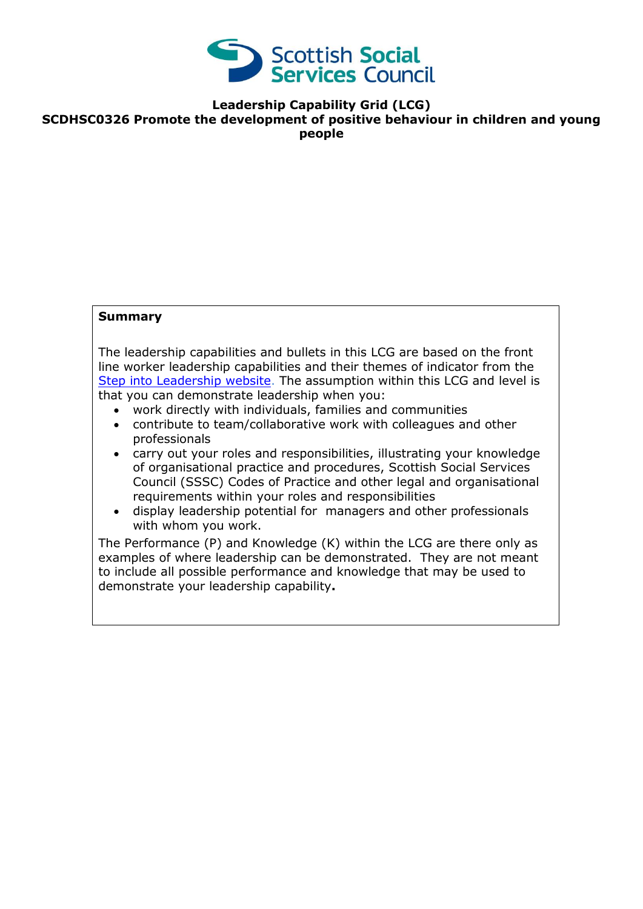

**Leadership Capability Grid (LCG)**

**SCDHSC0326 Promote the development of positive behaviour in children and young people**

### **Summary**

The leadership capabilities and bullets in this LCG are based on the front line worker leadership capabilities and their themes of indicator from the [Step into Leadership website.](http://www.stepintoleadership.info/) The assumption within this LCG and level is that you can demonstrate leadership when you:

- work directly with individuals, families and communities
- contribute to team/collaborative work with colleagues and other professionals
- carry out your roles and responsibilities, illustrating your knowledge of organisational practice and procedures, Scottish Social Services Council (SSSC) Codes of Practice and other legal and organisational requirements within your roles and responsibilities
- display leadership potential for managers and other professionals with whom you work.

The Performance (P) and Knowledge (K) within the LCG are there only as examples of where leadership can be demonstrated. They are not meant to include all possible performance and knowledge that may be used to demonstrate your leadership capability**.**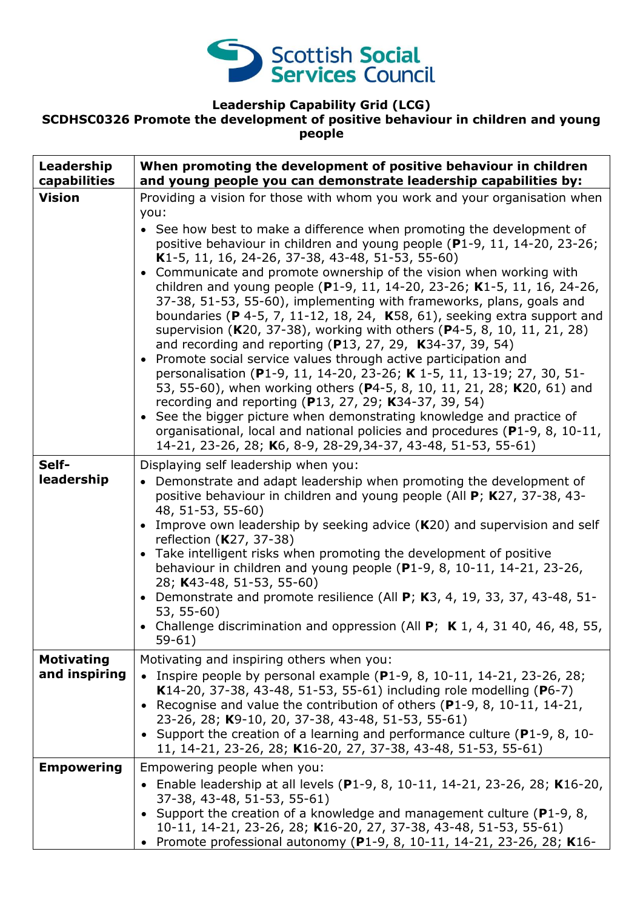

### **Leadership Capability Grid (LCG)**

# **SCDHSC0326 Promote the development of positive behaviour in children and young people**

| Leadership<br>capabilities         | When promoting the development of positive behaviour in children<br>and young people you can demonstrate leadership capabilities by:                                                                                                                                                                                                                                                                                                                                                                                                                                                                                                                                                                                                                                                                                                                                                                                                                                                                                                                                                                                                                                                                                                                |
|------------------------------------|-----------------------------------------------------------------------------------------------------------------------------------------------------------------------------------------------------------------------------------------------------------------------------------------------------------------------------------------------------------------------------------------------------------------------------------------------------------------------------------------------------------------------------------------------------------------------------------------------------------------------------------------------------------------------------------------------------------------------------------------------------------------------------------------------------------------------------------------------------------------------------------------------------------------------------------------------------------------------------------------------------------------------------------------------------------------------------------------------------------------------------------------------------------------------------------------------------------------------------------------------------|
| <b>Vision</b>                      | Providing a vision for those with whom you work and your organisation when<br>you:<br>• See how best to make a difference when promoting the development of<br>positive behaviour in children and young people (P1-9, 11, 14-20, 23-26;<br>K1-5, 11, 16, 24-26, 37-38, 43-48, 51-53, 55-60)<br>• Communicate and promote ownership of the vision when working with<br>children and young people (P1-9, 11, 14-20, 23-26; K1-5, 11, 16, 24-26,<br>37-38, 51-53, 55-60), implementing with frameworks, plans, goals and<br>boundaries (P 4-5, 7, 11-12, 18, 24, K58, 61), seeking extra support and<br>supervision (K20, 37-38), working with others (P4-5, 8, 10, 11, 21, 28)<br>and recording and reporting (P13, 27, 29, K34-37, 39, 54)<br>• Promote social service values through active participation and<br>personalisation (P1-9, 11, 14-20, 23-26; K 1-5, 11, 13-19; 27, 30, 51-<br>53, 55-60), when working others (P4-5, 8, 10, 11, 21, 28; K20, 61) and<br>recording and reporting (P13, 27, 29; K34-37, 39, 54)<br>• See the bigger picture when demonstrating knowledge and practice of<br>organisational, local and national policies and procedures (P1-9, 8, 10-11,<br>14-21, 23-26, 28; K6, 8-9, 28-29, 34-37, 43-48, 51-53, 55-61) |
| Self-<br>leadership                | Displaying self leadership when you:<br>• Demonstrate and adapt leadership when promoting the development of<br>positive behaviour in children and young people (All P; K27, 37-38, 43-<br>48, 51-53, 55-60)<br>Improve own leadership by seeking advice (K20) and supervision and self<br>$\bullet$<br>reflection (K27, 37-38)<br>• Take intelligent risks when promoting the development of positive<br>behaviour in children and young people $(P1-9, 8, 10-11, 14-21, 23-26,$<br>28; K43-48, 51-53, 55-60)<br>• Demonstrate and promote resilience (All $P$ ; K3, 4, 19, 33, 37, 43-48, 51-<br>53, 55-60)<br>• Challenge discrimination and oppression (All $P$ ; K 1, 4, 31 40, 46, 48, 55,<br>$59-61)$                                                                                                                                                                                                                                                                                                                                                                                                                                                                                                                                        |
| <b>Motivating</b><br>and inspiring | Motivating and inspiring others when you:<br>• Inspire people by personal example (P1-9, 8, 10-11, 14-21, 23-26, 28;<br>K14-20, 37-38, 43-48, 51-53, 55-61) including role modelling (P6-7)<br>• Recognise and value the contribution of others ( $P1-9$ , 8, 10-11, 14-21,<br>23-26, 28; K9-10, 20, 37-38, 43-48, 51-53, 55-61)<br>• Support the creation of a learning and performance culture ( $P1-9$ , 8, 10-<br>11, 14-21, 23-26, 28; K16-20, 27, 37-38, 43-48, 51-53, 55-61)                                                                                                                                                                                                                                                                                                                                                                                                                                                                                                                                                                                                                                                                                                                                                                 |
| <b>Empowering</b>                  | Empowering people when you:<br>• Enable leadership at all levels (P1-9, 8, 10-11, 14-21, 23-26, 28; K16-20,<br>37-38, 43-48, 51-53, 55-61)<br>• Support the creation of a knowledge and management culture ( $P1-9$ , 8,<br>10-11, 14-21, 23-26, 28; K16-20, 27, 37-38, 43-48, 51-53, 55-61)<br>• Promote professional autonomy (P1-9, 8, 10-11, 14-21, 23-26, 28; K16-                                                                                                                                                                                                                                                                                                                                                                                                                                                                                                                                                                                                                                                                                                                                                                                                                                                                             |